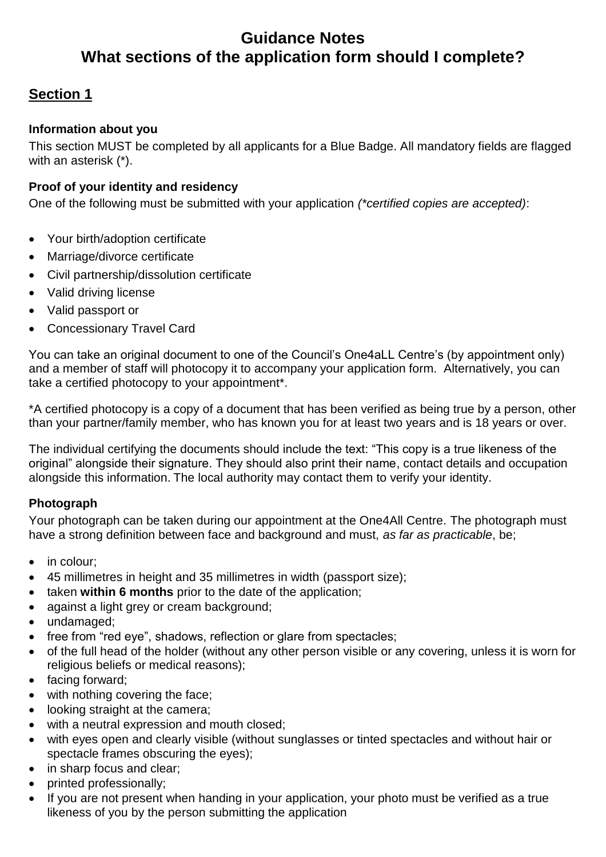# **Guidance Notes What sections of the application form should I complete?**

# **Section 1**

### **Information about you**

This section MUST be completed by all applicants for a Blue Badge. All mandatory fields are flagged with an asterisk (\*).

### **Proof of your identity and residency**

One of the following must be submitted with your application *(\*certified copies are accepted)*:

- Your birth/adoption certificate
- Marriage/divorce certificate
- Civil partnership/dissolution certificate
- Valid driving license
- Valid passport or
- Concessionary Travel Card

You can take an original document to one of the Council's One4aLL Centre's (by appointment only) and a member of staff will photocopy it to accompany your application form. Alternatively, you can take a certified photocopy to your appointment\*.

\*A certified photocopy is a copy of a document that has been verified as being true by a person, other than your partner/family member, who has known you for at least two years and is 18 years or over.

The individual certifying the documents should include the text: "This copy is a true likeness of the original" alongside their signature. They should also print their name, contact details and occupation alongside this information. The local authority may contact them to verify your identity.

### **Photograph**

Your photograph can be taken during our appointment at the One4All Centre. The photograph must have a strong definition between face and background and must, *as far as practicable*, be;

- in colour;
- 45 millimetres in height and 35 millimetres in width (passport size);
- taken **within 6 months** prior to the date of the application;
- against a light grey or cream background;
- undamaged:
- free from "red eye", shadows, reflection or glare from spectacles;
- of the full head of the holder (without any other person visible or any covering, unless it is worn for religious beliefs or medical reasons);
- facing forward;
- with nothing covering the face;
- looking straight at the camera;
- with a neutral expression and mouth closed;
- with eyes open and clearly visible (without sunglasses or tinted spectacles and without hair or spectacle frames obscuring the eyes);
- in sharp focus and clear;
- printed professionally;
- If you are not present when handing in your application, your photo must be verified as a true likeness of you by the person submitting the application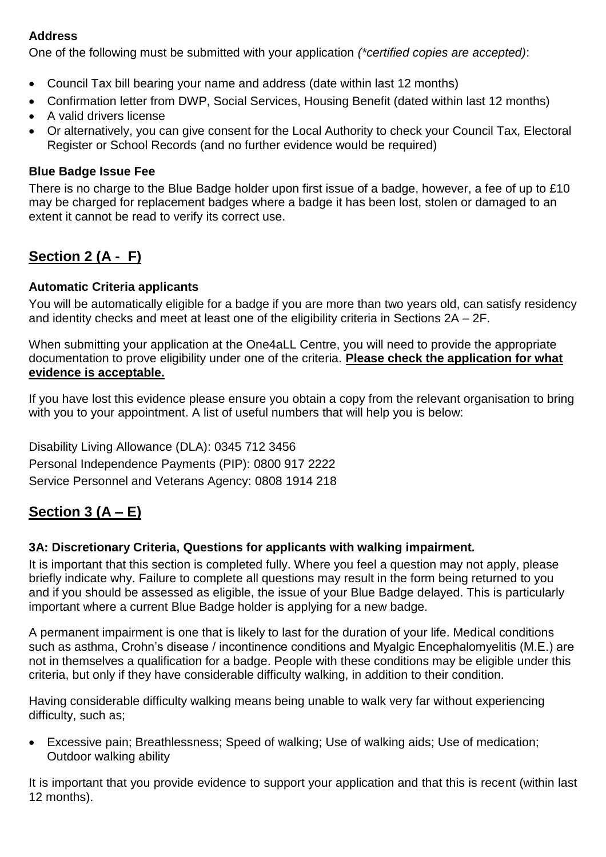### **Address**

One of the following must be submitted with your application *(\*certified copies are accepted)*:

- Council Tax bill bearing your name and address (date within last 12 months)
- Confirmation letter from DWP, Social Services, Housing Benefit (dated within last 12 months)
- A valid drivers license
- Or alternatively, you can give consent for the Local Authority to check your Council Tax, Electoral Register or School Records (and no further evidence would be required)

### **Blue Badge Issue Fee**

There is no charge to the Blue Badge holder upon first issue of a badge, however, a fee of up to £10 may be charged for replacement badges where a badge it has been lost, stolen or damaged to an extent it cannot be read to verify its correct use.

# **Section 2 (A - F)**

### **Automatic Criteria applicants**

You will be automatically eligible for a badge if you are more than two years old, can satisfy residency and identity checks and meet at least one of the eligibility criteria in Sections 2A – 2F.

When submitting your application at the One4aLL Centre, you will need to provide the appropriate documentation to prove eligibility under one of the criteria. **Please check the application for what evidence is acceptable.** 

If you have lost this evidence please ensure you obtain a copy from the relevant organisation to bring with you to your appointment. A list of useful numbers that will help you is below:

Disability Living Allowance (DLA): 0345 712 3456 Personal Independence Payments (PIP): 0800 917 2222 Service Personnel and Veterans Agency: 0808 1914 218

### **Section 3 (A – E)**

### **3A: Discretionary Criteria, Questions for applicants with walking impairment.**

It is important that this section is completed fully. Where you feel a question may not apply, please briefly indicate why. Failure to complete all questions may result in the form being returned to you and if you should be assessed as eligible, the issue of your Blue Badge delayed. This is particularly important where a current Blue Badge holder is applying for a new badge.

A permanent impairment is one that is likely to last for the duration of your life. Medical conditions such as asthma, Crohn's disease / incontinence conditions and Myalgic Encephalomyelitis (M.E.) are not in themselves a qualification for a badge. People with these conditions may be eligible under this criteria, but only if they have considerable difficulty walking, in addition to their condition.

Having considerable difficulty walking means being unable to walk very far without experiencing difficulty, such as;

 Excessive pain; Breathlessness; Speed of walking; Use of walking aids; Use of medication; Outdoor walking ability

It is important that you provide evidence to support your application and that this is recent (within last 12 months).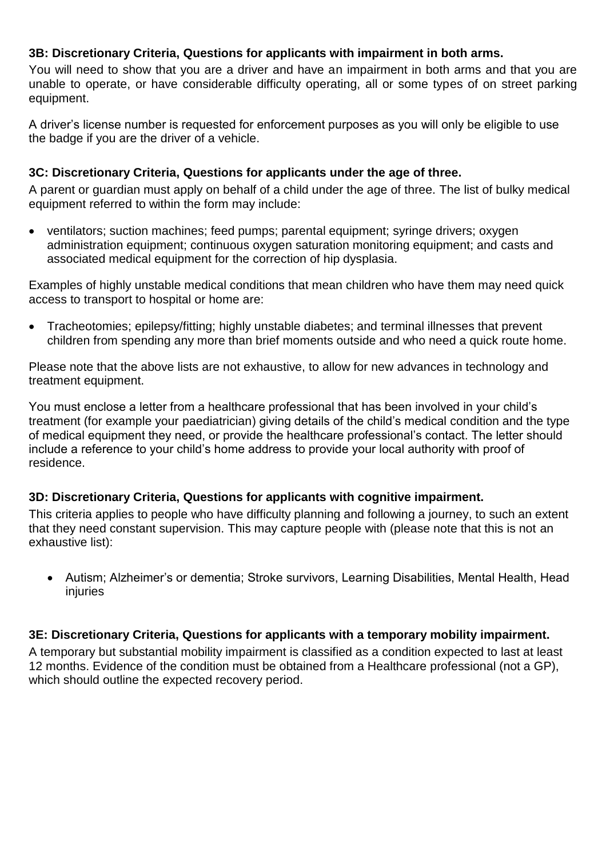### **3B: Discretionary Criteria, Questions for applicants with impairment in both arms.**

You will need to show that you are a driver and have an impairment in both arms and that you are unable to operate, or have considerable difficulty operating, all or some types of on street parking equipment.

A driver's license number is requested for enforcement purposes as you will only be eligible to use the badge if you are the driver of a vehicle.

### **3C: Discretionary Criteria, Questions for applicants under the age of three.**

A parent or guardian must apply on behalf of a child under the age of three. The list of bulky medical equipment referred to within the form may include:

• ventilators; suction machines; feed pumps; parental equipment; syringe drivers; oxygen administration equipment; continuous oxygen saturation monitoring equipment; and casts and associated medical equipment for the correction of hip dysplasia.

Examples of highly unstable medical conditions that mean children who have them may need quick access to transport to hospital or home are:

 Tracheotomies; epilepsy/fitting; highly unstable diabetes; and terminal illnesses that prevent children from spending any more than brief moments outside and who need a quick route home.

Please note that the above lists are not exhaustive, to allow for new advances in technology and treatment equipment.

You must enclose a letter from a healthcare professional that has been involved in your child's treatment (for example your paediatrician) giving details of the child's medical condition and the type of medical equipment they need, or provide the healthcare professional's contact. The letter should include a reference to your child's home address to provide your local authority with proof of residence.

### **3D: Discretionary Criteria, Questions for applicants with cognitive impairment.**

This criteria applies to people who have difficulty planning and following a journey, to such an extent that they need constant supervision. This may capture people with (please note that this is not an exhaustive list):

 Autism; Alzheimer's or dementia; Stroke survivors, Learning Disabilities, Mental Health, Head injuries

### **3E: Discretionary Criteria, Questions for applicants with a temporary mobility impairment.**

A temporary but substantial mobility impairment is classified as a condition expected to last at least 12 months. Evidence of the condition must be obtained from a Healthcare professional (not a GP), which should outline the expected recovery period.